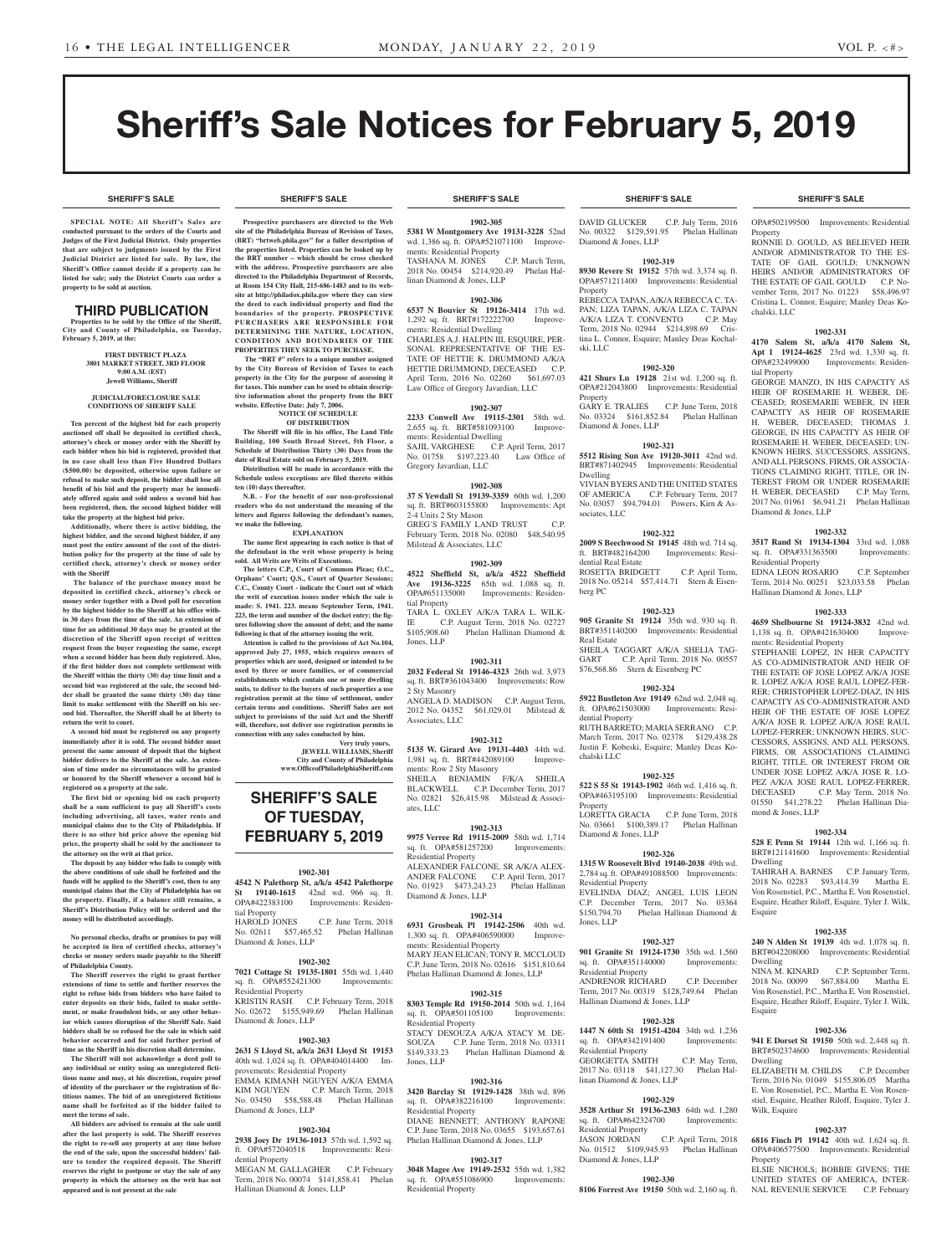**SHERIFF'S SALE SHERIFF'S SALE SHERIFF'S SALE SHERIFF'S SALE SHERIFF'S SALE**

# Sheriff's Sale Notices for February 5, 2019

**SPECIAL NOTE: All Sheriff 's Sales are conducted pursuant to the orders of the Courts and Judges of the First Judicial District. Only properties that are subject to judgments issued by the First Judicial District are listed for sale. By law, the Sheriff's Office cannot decide if a property can be listed for sale; only the District Courts can order a property to be sold at auction.** 

#### THIRD PUBLICATION

**Properties to be sold by the Office of the Sheriff, City and County of Philadelphia, on Tuesday, February 5, 2019, at the:** 

#### **FIRST DISTRICT PLAZA 3801 MARKET STREET, 3RD FLOOR 9:00 A.M. (EST) Jewell Williams, Sheriff**

#### **JUDICIAL/FORECLOSURE SALE CONDITIONS OF SHERIFF SALE**

**Ten percent of the highest bid for each property auctioned off shall be deposited in certified check, attorney's check or money order with the Sheriff by each bidder when his bid is registered, provided that in no case shall less than Five Hundred Dollars (\$500.00) be deposited, otherwise upon failure or refusal to make such deposit, the bidder shall lose all benefit of his bid and the property may be immediately offered again and sold unless a second bid has been registered, then, the second highest bidder will take the property at the highest bid price.**

**Additionally, where there is active bidding, the highest bidder, and the second highest bidder, if any must post the entire amount of the cost of the distribution policy for the property at the time of sale by certified check, attorney's check or money order with the Sheriff**

 **The balance of the purchase money must be deposited in certified check, attorney's check or money order together with a Deed poll for execution by the highest bidder to the Sheriff at his office within 30 days from the time of the sale. An extension of time for an additional 30 days may be granted at the discretion of the Sheriff upon receipt of written request from the buyer requesting the same, except when a second bidder has been duly registered. Also, if the first bidder does not complete settlement with the Sheriff within the thirty (30) day time limit and a second bid was registered at the sale, the second bidder shall be granted the same thirty (30) day time limit to make settlement with the Sheriff on his second bid. Thereafter, the Sheriff shall be at liberty to return the writ to court.**

**A second bid must be registered on any property immediately after it is sold. The second bidder must present the same amount of deposit that the highest bidder delivers to the Sheriff at the sale. An extension of time under no circumstances will be granted or honored by the Sheriff whenever a second bid is registered on a property at the sale.** 

**The first bid or opening bid on each property shall be a sum sufficient to pay all Sheriff's costs including advertising, all taxes, water rents and municipal claims due to the City of Philadelphia. If there is no other bid price above the opening bid price, the property shall be sold by the auctioneer to the attorney on the writ at that price.**

**The deposit by any bidder who fails to comply with the above conditions of sale shall be forfeited and the funds will be applied to the Sheriff's cost, then to any municipal claims that the City of Philadelphia has on the property. Finally, if a balance still remains, a Sheriff's Distribution Policy will be ordered and the money will be distributed accordingly.**

**No personal checks, drafts or promises to pay will be accepted in lieu of certified checks, attorney's checks or money orders made payable to the Sheriff of Philadelphia County.**

**The Sheriff reserves the right to grant further extensions of time to settle and further reserves the right to refuse bids from bidders who have failed to enter deposits on their bids, failed to make settlement, or make fraudulent bids, or any other behavior which causes disruption of the Sheriff Sale. Said bidders shall be so refused for the sale in which said behavior occurred and for said further period of time as the Sheriff in his discretion shall determine.**

**The Sheriff will not acknowledge a deed poll to any individual or entity using an unregistered fictitious name and may, at his discretion, require proof of identity of the purchaser or the registration of fictitious names. The bid of an unregistered fictitious name shall be forfeited as if the bidder failed to meet the terms of sale.**

**All bidders are advised to remain at the sale until after the last property is sold. The Sheriff reserves the right to re-sell any property at any time before the end of the sale, upon the successful bidders' failure to tender the required deposit. The Sheriff reserves the right to postpone or stay the sale of any property in which the attorney on the writ has not appeared and is not present at the sale**

**Prospective purchasers are directed to the Web site of the Philadelphia Bureau of Revision of Taxes, (BRT) "brtweb.phila.gov" for a fuller description of the properties listed. Properties can be looked up by the BRT number – which should be cross checked with the address. Prospective purchasers are also directed to the Philadelphia Department of Records, at Room 154 City Hall, 215-686-1483 and to its website at http://philadox.phila.gov where they can view the deed to each individual property and find the boundaries of the property. PROSPECTIVE PURCHASERS ARE RESPONSIBLE FOR DETERMINING THE NATURE, LOCATION, CONDITION AND BOUNDARIES OF THE PROPERTIES THEY SEEK TO PURCHASE.** The "BRT #" refers to a unique number assigned **by the City Bureau of Revision of Taxes to each property in the City for the purpose of assessing it for taxes. This number can be used to obtain descriptive information about the property from the BRT** 

**website. Effective Date: July 7, 2006.**

**ten (10) days thereafter.**

**we make the following.**

**NOTICE OF SCHEDULE OF DISTRIBUTION The Sheriff will file in his office, The Land Title Building, 100 South Broad Street, 5th Floor, a Schedule of Distribution Thirty (30) Days from the date of Real Estate sold on February 5, 2019. Distribution will be made in accordance with the Schedule unless exceptions are filed thereto within** 

**N.B. - For the benefit of our non-professional readers who do not understand the meaning of the letters and figures following the defendant's names,** 

**EXPLANATION The name first appearing in each notice is that of the defendant in the writ whose property is being** 

**The letters C.P., Court of Common Pleas; O.C., Orphans' Court; Q.S., Court of Quarter Sessions; C.C., County Court - indicate the Court out of which the writ of execution issues under which the sale is made: S. 1941. 223. means September Term, 1941. 223, the term and number of the docket entry; the figures following show the amount of debt; and the name following is that of the attorney issuing the writ. Attention is called to the provisions of Act No.104, approved July 27, 1955, which requires owners of properties which are used, designed or intended to be used by three or more families, or of commercial establishments which contain one or more dwelling units, to deliver to the buyers of such properties a use registration permit at the time of settlement, under certain terms and conditions. Sheriff Sales are not subject to provisions of the said Act and the Sheriff will, therefore, not deliver use registration permits in connection with any sales conducted by him.**

**SHERIFF'S SALE OF TUESDAY, FEBRUARY 5, 2019**

**1902-301 4542 N Palethorp St, a/k/a 4542 Palethorpe St 19140-1615** 42nd wd. 966 sq. ft.<br>OPA#422383100 Improvements: Residen-

No. 02611 \$57,465.52 Phelan Hallinan

**1902-302 7021 Cottage St 19135-1801** 55th wd. 1,440

No. 02672 \$155,949.69 Phelan Hallinan

**1902-303 2631 S Lloyd St, a/k/a 2631 Lloyd St 19153**  40th wd. 1,024 sq. ft. OPA#404014400 Im-

EMMA KIMANH NGUYEN A/K/A EMMA KIM NGUYEN C.P. March Term, 2018 No. 03450 \$58,588.48 Phelan Hallinan

**1902-304 2938 Joey Dr 19136-1013** 57th wd. 1,592 sq. ft. OPA#572040518 Improvements: Resi-

MEGAN M. GALLAGHER C.P. February Term, 2018 No. 00074 \$141,858.41 Phelan

tial Property

Diamond & Jones, LLP

sq. ft. OPA#552421300 Residential Property

Diamond & Jones, LLP

Diamond & Jones, LLP

dential Property

provements: Residential Property

Hallinan Diamond & Jones, LLP

Improvements: Residen-

C.P. June Term, 2018

C.P. February Term, 2018

**Very truly yours, JEWELL WILLIAMS, Sheriff City and County of Philadelphia www.OfficeofPhiladelphiaSheriff.com**

**sold. All Writs are Writs of Executions.**

#### **SHERIFF'S SALE SHERIFF'S SALE SHERIFF'S SALE SHERIFF'S SALE SHERIFF'S SALE**

**1902-305 5381 W Montgomery Ave 19131-3228** 52nd wd. 1,386 sq. ft. OPA#521071100 Improvements: Residential Property TASHANA M. JONES C.P. March Term,

2018 No. 00454 \$214,920.49 Phelan Hallinan Diamond & Jones, LLP

### **1902-306**

**6537 N Bouvier St 19126-3414** 17th wd. 1,292 sq. ft. BRT#172222700 Improvements: Residential Dwelling CHARLES A.J. HALPIN III, ESQUIRE, PER-SONAL REPRESENTATIVE OF THE ES-TATE OF HETTIE K. DRUMMOND A/K/A HETTIE DRUMMOND, DECEASED C.P April Term, 2016 No. 02260 \$61,697.03 Law Office of Gregory Javardian, LLC

### **1902-307**

**2233 Conwell Ave 19115-2301** 58th wd. 2,655 sq. ft. BRT#581093100 ments: Residential Dwelling SAJIL VARGHESE C.P. April Term, 2017

No. 01758 \$197,223.40 Law Office of Gregory Javardian, LLC

#### **1902-308**

**37 S Yewdall St 19139-3359** 60th wd. 1,200 sq. ft. BRT#603155800 Improvements: Apt 2-4 Units 2 Sty Mason GREG'S FAMILY LAND TRUST C.P. February Term, 2018 No. 02080 \$48,540.95 Milstead & Associates, LLC

#### **1902-309**

**4522 Sheffield St, a/k/a 4522 Sheffield Ave 19136-3225** 65th wd. 1,088 sq. ft.<br>OPA#651135000 Improvements: Residen-Improvements: Residential Property TARA L. OXLEY A/K/A TARA L. WILK-IE C.P. August Term, 2018 No. 02727<br>\$105.908.60 Phelan Hallinan Diamond & Phelan Hallinan Diamond &

Jones, LLP **1902-311 2032 Federal St 19146-4323** 26th wd. 3,973

sq. ft. BRT#361043400 Improvements: Row 2 Sty Masonry ANGELA D. MADISON C.P. August Term, 2012 No. 04352 \$61,029.01 Milstead & Associates, LLC

#### **1902-312**

**5135 W. Girard Ave 19131-4403** 44th wd. 1,981 sq. ft. BRT#442089100 Improvements: Row 2 Sty Masonry SHEILA BENJAMIN F/K/A SHEILA BLACKWELL C.P. December Term, 2017 No. 02821 \$26,415.98 Milstead & Associates, LLC

#### **1902-313**

**9975 Verree Rd 19115-2009** 58th wd. 1,714 sq. ft. OPA#581257200 Improvements: Residential Property ALEXANDER FALCONE, SR A/K/A ALEX-ANDER FALCONE C.P. April Term, 2017 No. 01923 \$473,243.23 Phelan Hallinan Diamond & Jones, LLP

#### **1902-314**

**6931 Grosbeak Pl 19142-2506** 40th wd. 1,300 sq. ft. OPA#406590000 Improvements: Residential Property MARY JEAN ELICAN; TONY R. MCCLOUD C.P. June Term, 2018 No. 02616 \$151,810.64 Phelan Hallinan Diamond & Jones, LLP

#### **1902-315**

**8303 Temple Rd 19150-2014** 50th wd. 1,164 sq. ft. OPA#501105100 Improvements: sq. ft. OPA#501105100 Residential Property STACY DESOUZA A/K/A STACY M. DE-SOUZA C.P. June Term, 2018 No. 03311<br>\$149,333.23 Phelan Hallinan Diamond & Phelan Hallinan Diamond & Jones, LLP

#### **1902-316**

**3420 Barclay St 19129-1428** 38th wd. 896 sq. ft. OPA#382216100 Improvements: Residential Property DIANE BENNETT; ANTHONY RAPONE C.P. June Term, 2018 No. 03655 \$193,657.61 Phelan Hallinan Diamond & Jones, LLP

#### **1902-317**

**3048 Magee Ave 19149-2532** 55th wd. 1,382 sq. ft. OPA#551086900 Improvements: Residential Property

DAVID GLUCKER C.P. July Term, 2016 No. 00322 \$129,591.95 Phelan Hallinan Diamond & Jones, LLP

#### **1902-319**

**8930 Revere St 19152** 57th wd. 3,374 sq. ft. OPA#571211400 Improvements: Residential Property

REBECCA TAPAN, A/K/A REBECCA C. TA-PAN; LIZA TAPAN, A/K/A LIZA C. TAPAN<br>A/K/A LIZA T. CONVENTO C.P. May A/K/A LIZA T. CONVENTO Term, 2018 No. 02944 \$214,898.69 Cristina L. Connor, Esquire; Manley Deas Kochalski, LLC

#### **1902-320**

**421 Shurs Ln 19128** 21st wd. 1,200 sq. ft. OPA#212043800 Improvements: Residential **Property** GARY E. TRALIES C.P. June Term, 2018

No. 03324 \$161,852.84 Phelan Hallinan Diamond & Jones, LLP

#### **1902-321**

**5512 Rising Sun Ave 19120-3011** 42nd wd. BRT#871402945 Improvements: Residential Dwelling VIVIAN BYERS AND THE UNITED STATES OF AMERICA C.P. February Term, 2017 No. 03057 \$94,794.01 Powers, Kirn & Associates, LLC

#### **1902-322**

**2009 S Beechwood St 19145** 48th wd. 714 sq. ft. BRT#482164200 Improvements: Residential Real Estate ROSETTA BRIDGETT C.P. April Term, 2018 No. 05214 \$57,414.71 Stern & Eisenberg PC

#### **1902-323**

**905 Granite St 19124** 35th wd. 930 sq. ft. BRT#351140200 Improvements: Residential Real Estate SHEILA TAGGART A/K/A SHELIA TAG-GART C.P. April Term, 2018 No. 00557<br>\$76,568.86 Stern & Eisenberg PC Stern & Eisenberg PC

#### **1902-324**

**5922 Bustleton Ave 19149** 62nd wd. 2,048 sq. ft. OPA#621503000 Improvements: Residential Property

RUTH BARRETO; MARIA SERRANO C.P. March Term, 2017 No. 02378 \$129,438.28 Justin F. Kobeski, Esquire; Manley Deas Kochalski LLC

#### **1902-325**

**522 S 55 St 19143-1902** 46th wd. 1,416 sq. ft. OPA#463195100 Improvements: Residential Property LORETTA GRACIA C.P. June Term, 2018 No. 03661 \$100,389.17 Phelan Hallinan

Diamond & Jones, LLP

# **1902-326**

**1315 W Roosevelt Blvd 19140-2038** 49th wd. 2,784 sq. ft. OPA#491088500 Improvements: Residential Property EVELINDA DIAZ; ANGEL LUIS LEON C.P. December Term, 2017 No. 03364 \$150,794.70 Phelan Hallinan Diamond & Jones, LLP

# **1902-327**

**901 Granite St 19124-1730** 35th wd. 1,560 sq. ft. OPA#351140000 Improvements: Residential Property ANDRENOR RICHARD C.P. December Term, 2017 No. 00319 \$128,749.64 Phelan

Hallinan Diamond & Jones, LLP **1902-328**

**1447 N 60th St 19151-4204** 34th wd. 1,236 sq. ft. OPA#342191400 Improvements: Residential Property

GEORGETTA SMITH C.P. May Term, 2017 No. 03118 \$41,127.30 Phelan Hallinan Diamond & Jones, LLP

# **1902-329**

**3528 Arthur St 19136-2303** 64th wd. 1,280 sq. ft. OPA#642324700 Improvements: sq. ft. OPA#642324700 Residential Property<br>JASON JORDAN C.P. April Term, 2018 No. 01512 \$109,945.93 Phelan Hallinan Diamond & Jones, LLP

**1902-330 8106 Forrest Ave 19150** 50th wd. 2,160 sq. ft.

# OPA#502199500 Improvements: Residential

Property RONNIE D. GOULD, AS BELIEVED HEIR AND/OR ADMINISTRATOR TO THE ES-TATE OF GAIL GOULD; UNKNOWN HEIRS AND/OR ADMINISTRATORS OF THE ESTATE OF GAIL GOULD C.P. November Term, 2017 No. 01223 \$58,496.97 Cristina L. Connor, Esquire; Manley Deas Kochalski, LLC

#### **1902-331**

**4170 Salem St, a/k/a 4170 Salem St, Apt 1 19124-4625** 23rd wd. 1,330 sq. ft. OPA#232499000 Improvements: Residential Property

GEORGE MANZO, IN HIS CAPACITY AS HEIR OF ROSEMARIE H. WEBER, DE-CEASED; ROSEMARIE WEBER, IN HER CAPACITY AS HEIR OF ROSEMARIE H. WEBER, DECEASED; THOMAS J. GEORGE, IN HIS CAPACITY AS HEIR OF ROSEMARIE H. WEBER, DECEASED; UN-KNOWN HEIRS, SUCCESSORS, ASSIGNS, AND ALL PERSONS, FIRMS, OR ASSOCIA-TIONS CLAIMING RIGHT, TITLE, OR IN-TEREST FROM OR UNDER ROSEMARIE H. WEBER, DECEASED C.P. May Term, 2017 No. 01961 \$6,941.21 Phelan Hallinan Diamond & Jones, LLP

### **1902-332**

**3517 Rand St 19134-1304** 33rd wd. 1,088 sq. ft. OPA#331363500 Improvements: Residential Property EDNA LEON ROSARIO C.P. September

Term, 2014 No. 00251 \$23,033.58 Phelan Hallinan Diamond & Jones, LLP

#### **1902-333**

**4659 Shelbourne St 19124-3832** 42nd wd. 1,138 sq. ft. OPA#421630400 Improvements: Residential Property

STEPHANIE LOPEZ, IN HER CAPACITY AS CO-ADMINISTRATOR AND HEIR OF THE ESTATE OF JOSE LOPEZ A/K/A JOSE R. LOPEZ A/K/A JOSE RAUL LOPEZ-FER-RER; CHRISTOPHER LOPEZ-DIAZ, IN HIS CAPACITY AS CO-ADMINISTRATOR AND HEIR OF THE ESTATE OF JOSE LOPEZ A/K/A JOSE R. LOPEZ A/K/A JOSE RAUL LOPEZ-FERRER; UNKNOWN HEIRS, SUC-CESSORS, ASSIGNS, AND ALL PERSONS, FIRMS, OR ASSOCIATIONS CLAIMING RIGHT, TITLE, OR INTEREST FROM OR UNDER JOSE LOPEZ A/K/A JOSE R. LO-PEZ A/K/A JOSE RAUL LOPEZ-FERRER, DECEASED C.P. May Term, 2018 No. 01550 \$41,278.22 Phelan Hallinan Diamond & Jones, LLP

#### **1902-334**

**528 E Penn St 19144** 12th wd. 1,166 sq. ft. BRT#121141600 Improvements: Residential Dwelling

TAHIRAH A. BARNES C.P. January Term, 2018 No. 02283 \$93,414.39 Martha E. Von Rosenstiel, P.C., Martha E. Von Rosenstiel, Esquire, Heather Riloff, Esquire, Tyler J. Wilk, Esquire

### **1902-335**

**240 N Alden St 19139** 4th wd. 1,078 sq. ft. BRT#042208000 Improvements: Residential Dwelling

NINA M. KINARD C.P. September Term, 2018 No. 00099 \$67,884.00 Martha E. Von Rosenstiel, P.C., Martha E. Von Rosenstiel, Esquire, Heather Riloff, Esquire, Tyler J. Wilk, Esquire

#### **1902-336**

**941 E Dorset St 19150** 50th wd. 2,448 sq. ft. BRT#502374600 Improvements: Residential Dwelling

ELIZABETH M. CHILDS C.P. December Term, 2016 No. 01049 \$155,806.05 Martha E. Von Rosenstiel, P.C., Martha E. Von Rosenstiel, Esquire, Heather Riloff, Esquire, Tyler J. Wilk, Esquire

#### **1902-337 6816 Finch Pl 19142** 40th wd. 1,624 sq. ft. OPA#406577500 Improvements: Residential

ELSIE NICHOLS; BOBBIE GIVENS; THE UNITED STATES OF AMERICA, INTER-NAL REVENUE SERVICE C.P. February

Property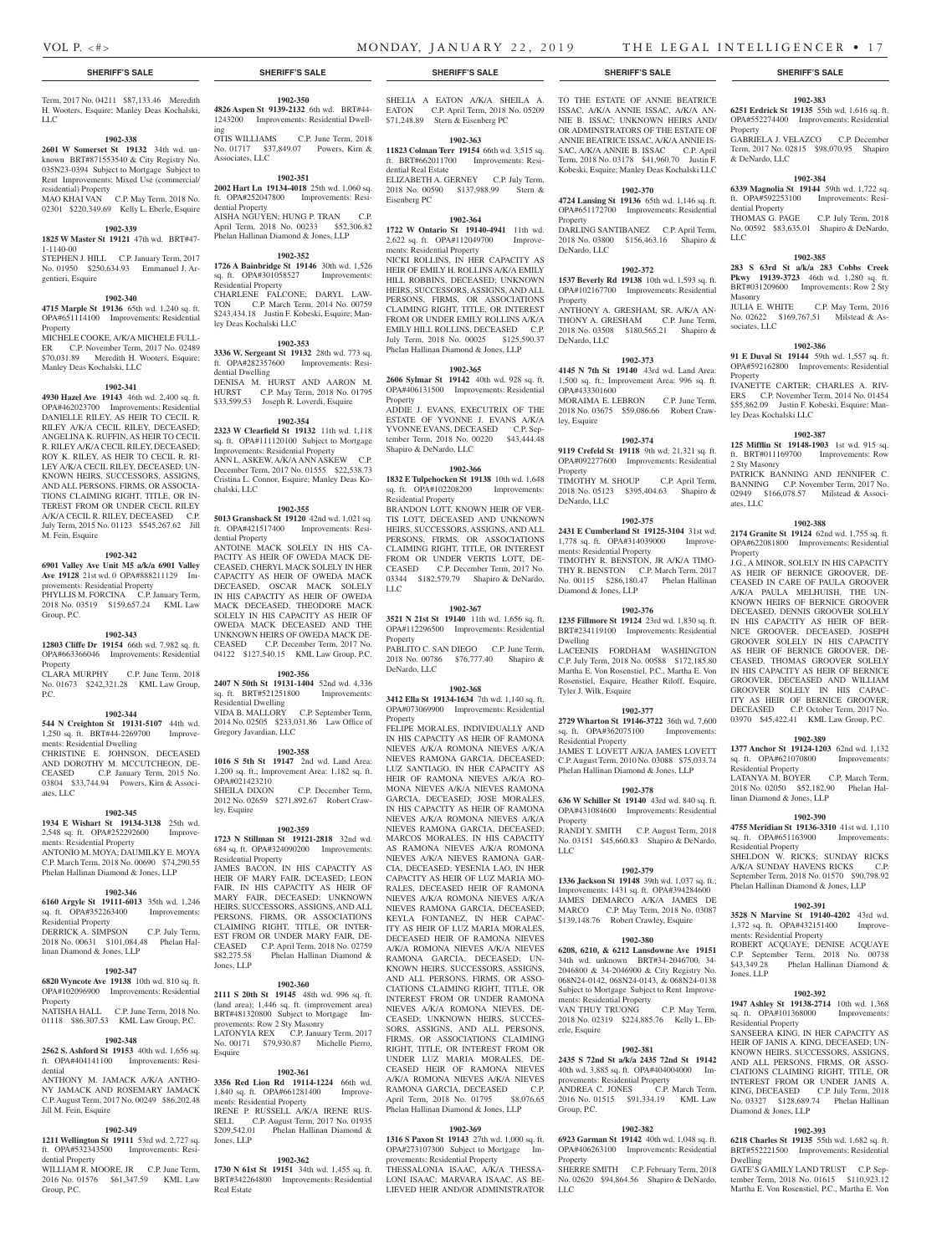Property

& DeNardo, LLC

dential Property

LLC

Masonry

Property

ley Deas Kochalski LLC

2 Sty Masonry

ates, LLC

Property

Residential Property

Residential Property

ments: Residential Property

Jones, LLP

Residential Property

Diamond & Jones, LLP

Dwelling

linan Diamond & Jones, LLP

sociates, LLC

**1902-383 6251 Erdrick St 19135** 55th wd. 1,616 sq. ft. OPA#552274400 Improvements: Residential

GABRIELA J. VELAZCO C.P. December Term, 2017 No. 02815 \$98,070.95 Shapiro

**1902-384 6339 Magnolia St 19144** 59th wd. 1,722 sq. ft. OPA#592253100 Improvements: Resi-

THOMAS G. PAGE C.P. July Term, 2018 No. 00592 \$83,635.01 Shapiro & DeNardo,

**1902-385 283 S 63rd St a/k/a 283 Cobbs Creek Pkwy 19139-3723** 46th wd. 1,280 sq. ft. BRT#031209600 Improvements: Row 2 Sty

JULIA E. WHITE C.P. May Term, 2016 No. 02622 \$169,767.51 Milstead & As-

**1902-386 91 E Duval St 19144** 59th wd. 1,557 sq. ft. OPA#592162800 Improvements: Residential

IVANETTE CARTER; CHARLES A. RIV-ERS C.P. November Term, 2014 No. 01454 \$55,862.09 Justin F. Kobeski, Esquire; Man-

**1902-387 125 Mifflin St 19148-1903** 1st wd. 915 sq. ft. BRT#011169700 Improvements: Row

PATRICK BANNING AND JENNIFER C. BANNING C.P. November Term, 2017 No. 02949 \$166,078.57 Milstead & Associ-

**1902-388 2174 Granite St 19124** 62nd wd. 1,755 sq. ft. OPA#622081800 Improvements: Residential

J.G., A MINOR, SOLELY IN HIS CAPACITY AS HEIR OF BERNICE GROOVER, DE-CEASED IN CARE OF PAULA GROOVER A/K/A PAULA MELHUISH, THE UN-KNOWN HEIRS OF BERNICE GROOVER DECEASED, DENNIS GROOVER SOLELY IN HIS CAPACITY AS HEIR OF BER-NICE GROOVER, DECEASED, JOSEPH GROOVER SOLELY IN HIS CAPACITY AS HEIR OF BERNICE GROOVER, DE-CEASED, THOMAS GROOVER SOLELY IN HIS CAPACITY AS HEIR OF BERNICE GROOVER, DECEASED AND WILLIAM GROOVER SOLELY IN HIS CAPAC-ITY AS HEIR OF BERNICE GROOVER, DECEASED C.P. October Term, 2017 No. 03970 \$45,422.41 KML Law Group, P.C. **1902-389 1377 Anchor St 19124-1203** 62nd wd. 1,132 sq. ft. OPA#621070800 Improvements:

LATANYA M. BOYER C.P. March Term, 2018 No. 02050 \$52,182.90 Phelan Hal-

**1902-390 4755 Meridian St 19136-3310** 41st wd. 1,110 sq. ft. OPA#651163900 Improvements:

SHELDON W. RICKS; SUNDAY RICKS A/K/A SUNDAY HAVENS RICKS C.P. September Term, 2018 No. 01570 \$90,798.92 Phelan Hallinan Diamond & Jones, LLP

**1902-391 3528 N Marvine St 19140-4202** 43rd wd. 1,372 sq. ft. OPA#432151400 Improve-

ROBERT ACQUAYE; DENISE ACQUAYE C.P. September Term, 2018 No. 00738 \$43,349.28 Phelan Hallinan Diamond &

**1902-392 1947 Ashley St 19138-2714** 10th wd. 1,368 sq. ft. OPA#101368000 Improvements:

SANSEERA KING, IN HER CAPACITY AS HEIR OF JANIS A. KING, DECEASED; UN-KNOWN HEIRS, SUCCESSORS, ASSIGNS, AND ALL PERSONS, FIRMS, OR ASSO-CIATIONS CLAIMING RIGHT, TITLE, OR INTEREST FROM OR UNDER JANIS A. KING, DECEASED C.P. July Term, 2018 No. 03327 \$128,689.74 Phelan Hallinan

**1902-393 6218 Charles St 19135** 55th wd. 1,682 sq. ft. BRT#552221500 Improvements: Residential

GATE'S GAMILY LAND TRUST C.P. September Term, 2018 No. 01615 \$110,923.12 Martha E. Von Rosenstiel, P.C., Martha E. Von

Term, 2017 No. 04211 \$87,133.46 Meredith H. Wooters, Esquire; Manley Deas Kochalski, LLC

#### **1902-338**

**2601 W Somerset St 19132** 34th wd. unknown BRT#871553540 & City Registry No. 035N23-0394 Subject to Mortgage Subject to Rent Improvements: Mixed Use (commercial/ residential) Property

MAO KHAI VAN C.P. May Term, 2018 No. 02301 \$220,349.69 Kelly L. Eberle, Esquire

### **1902-339**

**1825 W Master St 19121** 47th wd. BRT#47- 1-1140-00 STEPHEN J. HILL C.P. January Term, 2017

No. 01950 \$250,634.93 Emmanuel J. Argentieri, Esquire

#### **1902-340**

**4715 Marple St 19136** 65th wd. 1,240 sq. ft. OPA#651114100 Improvements: Residential Property MICHELE COOKE, A/K/A MICHELE FULL-ER C.P. November Term, 2017 No. 02489

\$70,031.89 Meredith H. Wooters, Esquire; Manley Deas Kochalski, LLC

### **1902-341**

**4930 Hazel Ave 19143** 46th wd. 2,400 sq. ft. OPA#462023700 Improvements: Residential DANIELLE RILEY, AS HEIR TO CECIL R. RILEY A/K/A CECIL RILEY, DECEASED; ANGELINA K. RUFFIN, AS HEIR TO CECIL R. RILEY A/K/A CECIL RILEY, DECEASED; ROY K. RILEY, AS HEIR TO CECIL R. RI-LEY A/K/A CECIL RILEY, DECEASED; UN-KNOWN HEIRS, SUCCESSORS, ASSIGNS, AND ALL PERSONS, FIRMS, OR ASSOCIA-TIONS CLAIMING RIGHT, TITLE, OR IN-TEREST FROM OR UNDER CECIL RILEY A/K/A CECIL R. RILEY, DECEASED C.P. July Term, 2015 No. 01123 \$545,267.62 Jill M. Fein, Esquire

#### **1902-342**

**6901 Valley Ave Unit M5 a/k/a 6901 Valley Ave 19128** 21st wd. 0 OPA#888211129 Improvements: Residential Property

PHYLLIS M. FORCINA C.P. January Term, 2018 No. 03519 \$159,657.24 KML Law Group, P.C.

#### **1902-343**

**12803 Cliffe Dr 19154** 66th wd. 7,982 sq. ft. OPA#663366046 Improvements: Residential Property CLARA MURPHY C.P. June Term, 2018

No. 01673 \$242,321.28 KML Law Group, P.C.

#### **1902-344**

**544 N Creighton St 19131-5107** 44th wd. 1,250 sq. ft. BRT#44-2269700 Improvements: Residential Dwelling CHRISTINE E. JOHNSON, DECEASED AND DOROTHY M. MCCUTCHEON, DE-CEASED C.P. January Term, 2015 No. 03804 \$33,744.94 Powers, Kirn & Associates, LLC

#### **1902-345**

**1934 E Wishart St 19134-3138** 25th wd. 2,548 sq. ft. OPA#252292600 Improvements: Residential Property ANTONIO M. MOYA; DAUMILKY E. MOYA C.P. March Term, 2018 No. 00690 \$74,290.55 Phelan Hallinan Diamond & Jones, LLP

#### **1902-346**

**6160 Argyle St 19111-6013** 35th wd. 1,246 sq. ft. OPA#352263400 Improvements: Residential Property

#### DERRICK A. SIMPSON C.P. July Term, 2018 No. 00631 \$101,084.48 Phelan Hallinan Diamond & Jones, LLP

#### **1902-347**

**6820 Wyncote Ave 19138** 10th wd. 810 sq. ft. OPA#102096900 Improvements: Residential Property NATISHA HALL C.P. June Term, 2018 No. 01118 \$86,307.53 KML Law Group, P.C.

#### **1902-348**

**2562 S. Ashford St 19153** 40th wd. 1,656 sq. ft. OPA#404141100 Improvements: Residential

ANTHONY M. JAMACK A/K/A ANTHO-NY JAMACK AND ROSEMARY JAMACK C.P. August Term, 2017 No. 00249 \$86,202.48 Jill M. Fein, Esquire

#### **1902-349**

**1211 Wellington St 19111** 53rd wd. 2,727 sq. ft. OPA#532343500 Improvements: Residential Property WILLIAM R. MOORE, JR C.P. June Term,

2016 No. 01576 \$61,347.59 KML Law Group, P.C.

**1902-350**

**4826 Aspen St 9139-2132** 6th wd. BRT#44- 1243200 Improvements: Residential Dwelling<br>OTIS WILLIAMS OTIS WILLIAMS C.P. June Term, 2018

No. 01717 \$37,849.07 Powers, Kirn & Associates, LLC **1902-351**

**2002 Hart Ln 19134-4018** 25th wd. 1,060 sq. ft. OPA#252047800 Improvements: Residential Property AISHA NGUYEN; HUNG P. TRAN April Term, 2018 No. 00233 \$52,306.82

# Phelan Hallinan Diamond & Jones, LLP

**1902-352 1726 A Bainbridge St 19146** 30th wd. 1,526 sq. ft. OPA#301058527 Improvements: Residential Property CHARLENE FALCONE; DARYL LAW-

TON C.P. March Term, 2014 No. 00759 \$243,434.18 Justin F. Kobeski, Esquire; Manley Deas Kochalski LLC

#### **1902-353**

**3336 W. Sergeant St 19132** 28th wd. 773 sq. ft. OPA#282357600 Improvements: Residential Dwelling DENISA M. HURST AND AARON M. HURST C.P. May Term, 2018 No. 01795 \$33,599.53 Joseph R. Loverdi, Esquire

#### **1902-354**

**2323 W Clearfield St 19132** 11th wd. 1,118 sq. ft. OPA#111120100 Subject to Mortgage Improvements: Residential Property ANN L. ASKEW, A/K/A ANN ASKEW C.P. December Term, 2017 No. 01555 \$22,538.73 Cristina L. Connor, Esquire; Manley Deas Kochalski, LLC

#### **1902-355**

**5013 Gransback St 19120** 42nd wd. 1,021 sq. ft. OPA#421517400 Improvements: Residential Property

ANTOINE MACK SOLELY IN HIS CA-PACITY AS HEIR OF OWEDA MACK DE-CEASED, CHERYL MACK SOLELY IN HER CAPACITY AS HEIR OF OWEDA MACK DECEASED, OSCAR MACK SOLELY IN HIS CAPACITY AS HEIR OF OWEDA MACK DECEASED, THEODORE MACK SOLELY IN HIS CAPACITY AS HEIR OF OWEDA MACK DECEASED AND THE UNKNOWN HEIRS OF OWEDA MACK DE-CEASED C.P. December Term, 2017 No. 04122 \$127,540.15 KML Law Group, P.C.

#### **1902-356**

**2407 N 50th St 19131-1404** 52nd wd. 4,336 sq. ft. BRT#521251800 Improvements: Residential Dwelling VIDA B. MALLORY C.P. September Term, 2014 No. 02505 \$233,031.86 Law Office of Gregory Javardian, LLC

#### **1902-358**

**1016 S 5th St 19147** 2nd wd. Land Area: 1,200 sq. ft.; Improvement Area: 1,182 sq. ft. OPA#021423210 C.P. December Term, 2012 No. 02659 \$271,892.67 Robert Crawley, Esquire

#### **1902-359**

**1723 N Stillman St 19121-2818** 32nd wd. 684 sq. ft. OPA#324090200 Improvements: Residential Property

JAMES BACON, IN HIS CAPACITY AS HEIR OF MARY FAIR, DCEASED; LEON FAIR, IN HIS CAPACITY AS HEIR OF MARY FAIR, DECEASED; UNKNOWN HEIRS, SUCCESSORS, ASSIGNS, AND ALL PERSONS, FIRMS, OR ASSOCIATIONS CLAIMING RIGHT, TITLE, OR INTER-EST FROM OR UNDER MARY FAIR, DE-CEASED C.P. April Term, 2018 No. 02759<br>\$82.275.58 Phelan Hallinan Diamond & Phelan Hallinan Diamond & Jones, LLP

#### **1902-360**

**2111 S 20th St 19145** 48th wd. 996 sq. ft. (land area); 1,446 sq. ft. (improvement area) BRT#481320800 Subject to Mortgage Improvements: Row 2 Sty Masonry LATONYIA REX C.P. January Term, 2017 No. 00171 \$79,930.87 Michelle Pierro, Esquire

#### **1902-361**

**3356 Red Lion Rd 19114-1224** 66th wd. 1,840 sq. ft. OPA#661281400 Improvements: Residential Property IRENE P. RUSSELL A/K/A IRENE RUS-SELL C.P. August Term, 2017 No. 01935<br>\$209,542.01 Phelan Hallinan Diamond & Phelan Hallinan Diamond & Jones, LLP

# **1902-362**

**1730 N 61st St 19151** 34th wd. 1,455 sq. ft. BRT#342264800 Improvements: Residential Real Estate

SHELIA A EATON A/K/A SHEILA A. EATON C.P. April Term, 2018 No. 05209 \$71,248.89 Stern & Eisenberg PC

#### **1902-363**

**11823 Colman Terr 19154** 66th wd. 3,515 sq. ft. BRT#662011700 Improvements: Residential Real Estate ELIZABETH A. GERNEY C.P. July Term, 2018 No. 00590 \$137,988.99 Stern & Eisenberg PC

### **1902-364**

**1722 W Ontario St 19140-4941** 11th wd. 2,622 sq. ft. OPA#112049700 Improvements: Residential Property NICKI ROLLINS, IN HER CAPACITY AS HEIR OF EMILY H. ROLLINS A/K/A EMILY HILL ROBBINS, DECEASED; UNKNOWN HEIRS, SUCCESSORS, ASSIGNS, AND ALL PERSONS, FIRMS, OR ASSOCIATIONS CLAIMING RIGHT, TITLE, OR INTEREST FROM OR UNDER EMILY ROLLINS A/K/A EMILY HILL ROLLINS, DECEASED C.P. July Term, 2018 No. 00025 \$125,590.37

# **1902-365**

Phelan Hallinan Diamond & Jones, LLP

**2606 Sylmar St 19142** 40th wd. 928 sq. ft. OPA#406131500 Improvements: Residential Property ADDIE J. EVANS, EXECUTRIX OF THE ESTATE OF YVONNE J. EVANS A/K/A YVONNE EVANS, DECEASED C.P. September Term, 2018 No. 00220 \$43,444.48 Shapiro & DeNardo, LLC

#### **1902-366**

**1832 E Tulpehocken St 19138** 10th wd. 1,648 sq. ft. OPA#102208200 Improvements: Residential Property BRANDON LOTT, KNOWN HEIR OF VER-TIS LOTT, DECEASED AND UNKNOWN HEIRS, SUCCESSORS, ASSIGNS, AND ALL PERSONS, FIRMS, OR ASSOCIATIONS CLAIMING RIGHT, TITLE, OR INTEREST FROM OR UNDER VERTIS LOTT, DE-CEASED C.P. December Term, 2017 No. 03344 \$182,579.79 Shapiro & DeNardo, LLC

#### **1902-367**

**3521 N 21st St 19140** 11th wd. 1,656 sq. ft. OPA#112296500 Improvements: Residential Property

PABLITO C. SAN DIEGO C.P. June Term, 2018 No. 00786 \$76,777.40 Shapiro & DeNardo, LLC

#### **1902-368**

**3412 Ella St 19134-1634** 7th wd. 1,140 sq. ft. OPA#073069900 Improvements: Residential Property

FELIPE MORALES, INDIVIDUALLY AND IN HIS CAPACITY AS HEIR OF RAMONA NIEVES A/K/A ROMONA NIEVES A/K/A NIEVES RAMONA GARCIA, DECEASED; LUZ SANTIAGO, IN HER CAPACITY AS HEIR OF RAMONA NIEVES A/K/A RO-MONA NIEVES A/K/A NIEVES RAMONA GARCIA, DECEASED; JOSE MORALES, IN HIS CAPACITY AS HEIR OF RAMONA NIEVES A/K/A ROMONA NIEVES A/K/A NIEVES RAMONA GARCIA, DECEASED; MARCOS MORALES, IN HIS CAPACITY AS RAMONA NIEVES A/K/A ROMONA NIEVES A/K/A NIEVES RAMONA GAR-CIA, DECEASED; YESENIA LAO, IN HER CAPACITY AS HEIR OF LUZ MARIA MO-RALES, DECEASED HEIR OF RAMONA NIEVES A/K/A ROMONA NIEVES A/K/A NIEVES RAMONA GARCIA, DECEASED; KEYLA FONTANEZ, IN HER CAPAC-ITY AS HEIR OF LUZ MARIA MORALES, DECEASED HEIR OF RAMONA NIEVES A/K/A ROMONA NIEVES A/K/A NIEVES RAMONA GARCIA, DECEASED; UN-KNOWN HEIRS, SUCCESSORS, ASSIGNS, AND ALL PERSONS, FIRMS, OR ASSO-CIATIONS CLAIMING RIGHT, TITLE, OR INTEREST FROM OR UNDER RAMONA NIEVES A/K/A ROMONA NIEVES, DE-CEASED; UNKNOWN HEIRS, SUCCES-SORS, ASSIGNS, AND ALL PERSONS, FIRMS, OR ASSOCIATIONS CLAIMING RIGHT, TITLE, OR INTEREST FROM OR UNDER LUZ MARIA MORALES, DE-CEASED HEIR OF RAMONA NIEVES A/K/A ROMONA NIEVES A/K/A NIEVES RAMONA GARCIA, DECEASED C.P. April Term, 2018 No. 01795 \$8,076.65 Phelan Hallinan Diamond & Jones, LLP

#### **1902-369**

**1316 S Paxon St 19143** 27th wd. 1,000 sq. ft. OPA#273107300 Subject to Mortgage Improvements: Residential Property

THESSALONIA ISAAC, A/K/A THESSA-LONI ISAAC; MARVARA ISAAC, AS BE-LIEVED HEIR AND/OR ADMINISTRATOR

#### **SHERIFF'S SALE SHERIFF'S SALE SHERIFF'S SALE SHERIFF'S SALE SHERIFF'S SALE**

TO THE ESTATE OF ANNIE BEATRICE ISSAC, A/K/A ANNIE ISSAC, A/K/A AN-NIE B. ISSAC; UNKNOWN HEIRS AND/ OR ADMINSTRATORS OF THE ESTATE OF ANNIE BEATRICE ISSAC, A/K/A ANNIE IS-SAC, A/K/A ANNIE B. ISSAC C.P. April Term, 2018 No. 03178 \$41,960.70 Justin F. Kobeski, Esquire; Manley Deas Kochalski LLC

#### **1902-370 4724 Lansing St 19136** 65th wd. 1,146 sq. ft.

OPA#651172700 Improvements: Residential Property DARLING SANTIBANEZ C.P. April Term, 2018 No. 03800 \$156,463.16 Shapiro &

#### **1902-372**

DeNardo, LLC

**1537 Beverly Rd 19138** 10th wd. 1,593 sq. ft. OPA#102167700 Improvements: Residential Property ANTHONY A. GRESHAM, SR. A/K/A AN-

THONY A. GRESHAM C.P. June Term, 2018 No. 03508 \$180,565.21 Shapiro & DeNardo, LLC

#### **1902-373**

**4145 N 7th St 19140** 43rd wd. Land Area: 1,500 sq. ft.; Improvement Area: 996 sq. ft. OPA#433301600 MORAIMA E. LEBRON C.P. June Term, 2018 No. 03675 \$59,086.66 Robert Crawley, Esquire

#### **1902-374**

**9119 Crefeld St 19118** 9th wd. 21,321 sq. ft. OPA#092277600 Improvements: Residential Property TIMOTHY M. SHOUP C.P. April Term,

2018 No. 05123 \$395,404.63 Shapiro & DeNardo, LLC

#### **1902-375 2431 E Cumberland St 19125-3104** 31st wd.

1,778 sq. ft. OPA#314039000 Improvements: Residential Property TIMOTHY R. BENSTON, JR A/K/A TIMO-THY R. BENSTON C.P. March Term, 2017 No. 00115 \$286,180.47 Phelan Hallinan Diamond & Jones, LLP

#### **1902-376**

**1235 Fillmore St 19124** 23rd wd. 1,830 sq. ft. BRT#234119100 Improvements: Residential Dwelling LACEENIS FORDHAM WASHINGTON

C.P. July Term, 2018 No. 00588 \$172,185.80 Martha E. Von Rosenstiel, P.C., Martha E. Von Rosenstiel, Esquire, Heather Riloff, Esquire, Tyler J. Wilk, Esquire

#### **1902-377 2729 Wharton St 19146-3722** 36th wd. 7,600

Residential Property

Property

LLC

sq. ft. OPA#362075100 Improvements:

JAMES T. LOVETT A/K/A JAMES LOVETT C.P. August Term, 2010 No. 03088 \$75,033.74 Phelan Hallinan Diamond & Jones, LLP **1902-378 636 W Schiller St 19140** 43rd wd. 840 sq. ft. OPA#431084600 Improvements: Residential

RANDI Y. SMITH C.P. August Term, 2018 No. 03151 \$45,660.83 Shapiro & DeNardo,

**1902-379 1336 Jackson St 19148** 39th wd. 1,037 sq. ft.; Improvements: 1431 sq. ft. OPA#394284600 JAMES DEMARCO A/K/A JAMES DE MARCO C.P. May Term, 2018 No. 03087 \$139,148.76 Robert Crawley, Esquire **1902-380 6208, 6210, & 6212 Lansdowne Ave 19151**  34th wd. unknown BRT#34-2046700, 34- 2046800 & 34-2046900 & City Registry No. 068N24-0142, 068N24-0143, & 068N24-0138 Subject to Mortgage Subject to Rent Improve-

VAN THUY TRUONG C.P. May Term, 2018 No. 02319 \$224,885.76 Kelly L. Eb-

**1902-381 2435 S 72nd St a/k/a 2435 72nd St 19142**  40th wd. 3,885 sq. ft. OPA#404004000 Im-

ANDREA C. JONES C.P. March Term, 2016 No. 01515 \$91,334.19 KML Law

**1902-382 6923 Garman St 19142** 40th wd. 1,048 sq. ft. OPA#406263100 Improvements: Residential

SHERRE SMITH C.P. February Term, 2018 No. 02620 \$94,864.56 Shapiro & DeNardo,

ments: Residential Property

provements: Residential Property

erle, Esquire

Group, P.C.

Property

LLC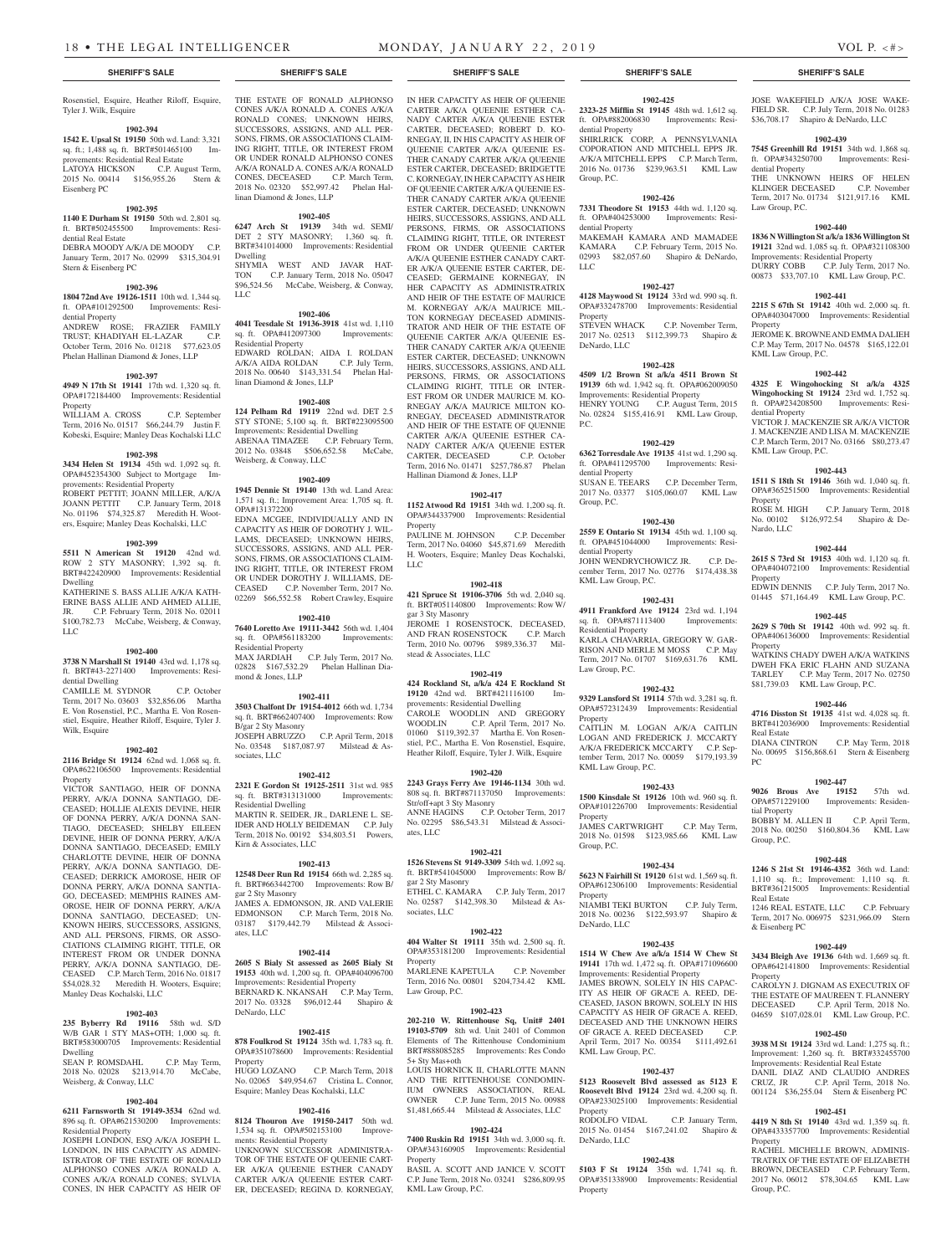Rosenstiel, Esquire, Heather Riloff, Esquire, THE ESTATE OF RONALD ALPHONSO Tyler J. Wilk, Esquire

#### **1902-394**

**1542 E. Upsal St 19150** 50th wd. Land: 3,321 sq. ft.; 1,488 sq. ft. BRT#501465100 Improvements: Residential Real Estate LATOYA HICKSON C.P. August Term, 2015 No. 00414 \$156,955.26 Stern & Eisenberg PC

# **1902-395**

**1140 E Durham St 19150** 50th wd. 2,801 sq. ft. BRT#502455500 Improvements: Residential Real Estate DEBRA MOODY A/K/A DE MOODY C.P. January Term, 2017 No. 02999 \$315,304.91

# Stern & Eisenberg PC

#### **1902-396**

**1804 72nd Ave 19126-1511** 10th wd. 1,344 sq. ft. OPA#101292500 Improvements: Residential Property ANDREW ROSE; FRAZIER FAMILY<br>TRUST; KHADIYAH EL-LAZAR C.P. TRUST; KHADIYAH EL-LAZAR C.P. October Term, 2016 No. 01218 \$77,623.05

# Phelan Hallinan Diamond & Jones, LLP **1902-397**

**4949 N 17th St 19141** 17th wd. 1,320 sq. ft. OPA#172184400 Improvements: Residential Property

WILLIAM A. CROSS C.P. September Term, 2016 No. 01517 \$66,244.79 Justin F. Kobeski, Esquire; Manley Deas Kochalski LLC

#### **1902-398**

**3434 Helen St 19134** 45th wd. 1,092 sq. ft. OPA#452354300 Subject to Mortgage Improvements: Residential Property ROBERT PETTIT; JOANN MILLER, A/K/A JOANN PETTIT C.P. January Term, 2018 No. 01196 \$74,325.87 Meredith H. Wooters, Esquire; Manley Deas Kochalski, LLC

#### **1902-399**

**5511 N American St 19120** 42nd wd. ROW 2 STY MASONRY; 1,392 sq. ft. BRT#422420900 Improvements: Residential Dwelling

KATHERINE S. BASS ALLIE A/K/A KATH-ERINE BASS ALLIE AND AHMED ALLIE, JR. C.P. February Term, 2018 No. 02011 \$100,782.73 McCabe, Weisberg, & Conway, LLC

#### **1902-400**

**3738 N Marshall St 19140** 43rd wd. 1,178 sq. ft. BRT#43-2271400 Improvements: Residential Dwelling

CAMILLE M. SYDNOR C.P. October Term, 2017 No. 03603 \$32,856.06 Martha E. Von Rosenstiel, P.C., Martha E. Von Rosenstiel, Esquire, Heather Riloff, Esquire, Tyler J. Wilk, Esquire

#### **1902-402**

**2116 Bridge St 19124** 62nd wd. 1,068 sq. ft. OPA#622106500 Improvements: Residential Property

VICTOR SANTIAGO, HEIR OF DONNA PERRY, A/K/A DONNA SANTIAGO, DE-CEASED; HOLLIE ALEXIS DEVINE, HEIR OF DONNA PERRY, A/K/A DONNA SAN-TIAGO, DECEASED; SHELBY EILEEN DEVINE, HEIR OF DONNA PERRY, A/K/A DONNA SANTIAGO, DECEASED; EMILY CHARLOTTE DEVINE, HEIR OF DONNA PERRY, A/K/A DONNA SANTIAGO, DE-CEASED; DERRICK AMOROSE, HEIR OF DONNA PERRY, A/K/A DONNA SANTIA-GO, DECEASED; MEMPHIS RAINES AM-OROSE, HEIR OF DONNA PERRY, A/K/A DONNA SANTIAGO, DECEASED; UN-KNOWN HEIRS, SUCCESSORS, ASSIGNS, AND ALL PERSONS, FIRMS, OR ASSO-CIATIONS CLAIMING RIGHT, TITLE, OR INTEREST FROM OR UNDER DONNA PERRY, A/K/A DONNA SANTIAGO, DE-CEASED C.P. March Term, 2016 No. 01817 \$54,028.32 Meredith H. Wooters, Esquire; Manley Deas Kochalski, LLC

#### **1902-403**

**235 Byberry Rd 19116** 58th wd. S/D W/B GAR 1 STY MAS+OTH; 1,000 sq. ft. BRT#583000705 Improvements: Residential Dwelling

SEAN P. ROMSDAHL C.P. May Term, 2018 No. 02028 \$213,914.70 McCabe, Weisberg, & Conway, LLC

#### **1902-404**

**6211 Farnsworth St 19149-3534** 62nd wd. 896 sq. ft. OPA#621530200 Improvements: Residential Property

JOSEPH LONDON, ESQ A/K/A JOSEPH L. LONDON, IN HIS CAPACITY AS ADMIN-ISTRATOR OF THE ESTATE OF RONALD ALPHONSO CONES A/K/A RONALD A. CONES A/K/A RONALD CONES; SYLVIA CONES, IN HER CAPACITY AS HEIR OF

#### CONES A/K/A RONALD A. CONES A/K/A RONALD CONES; UNKNOWN HEIRS, SUCCESSORS, ASSIGNS, AND ALL PER-SONS, FIRMS, OR ASSOCIATIONS CLAIM-ING RIGHT, TITLE, OR INTEREST FROM OR UNDER RONALD ALPHONSO CONES A/K/A RONALD A. CONES A/K/A RONALD CONES, DECEASED C.P. March Term, 2018 No. 02320 \$52,997.42 Phelan Hallinan Diamond & Jones, LLP

#### **1902-405**

**6247 Arch St 19139** 34th wd. SEMI/ DET 2 STY MASONRY; 1,360 sq. ft. BRT#341014000 Improvements: Residential Dwelling SHYMIA WEST AND JAVAR HAT-TON C.P. January Term, 2018 No. 05047 \$96,524.56 McCabe, Weisberg, & Conway, LLC

#### **1902-406**

**4041 Teesdale St 19136-3918** 41st wd. 1,110 sq. ft. OPA#412097300 Residential Property EDWARD ROLDAN; AIDA I. ROLDAN A/K/A AIDA ROLDAN C.P. July Term, 2018 No. 00640 \$143,331.54 Phelan Hallinan Diamond & Jones, LLP

#### **1902-408**

**124 Pelham Rd 19119** 22nd wd. DET 2.5 STY STONE; 5,100 sq. ft. BRT#223095500 Improvements: Residential Dwelling ABENAA TIMAZEE C.P. February Term, 2012 No. 03848 \$506,652.58 McCabe, Weisberg, & Conway, LLC

#### **1902-409**

**1945 Dennie St 19140** 13th wd. Land Area: 1,571 sq. ft.; Improvement Area: 1,705 sq. ft. OPA#131372200

EDNA MCGEE, INDIVIDUALLY AND IN CAPACITY AS HEIR OF DOROTHY J. WIL-LAMS, DECEASED; UNKNOWN HEIRS, SUCCESSORS, ASSIGNS, AND ALL PER-SONS, FIRMS, OR ASSOCIATIONS CLAIM-ING RIGHT, TITLE, OR INTEREST FROM OR UNDER DOROTHY J. WILLIAMS, DE-CEASED C.P. November Term, 2017 No. 02269 \$66,552.58 Robert Crawley, Esquire

#### **1902-410**

**7640 Loretto Ave 19111-3442** 56th wd. 1,404 sq. ft. OPA#561183200 Improvements: Residential Property MAX JARDIAH C.P. July Term, 2017 No. 02828 \$167,532.29 Phelan Hallinan Diamond & Jones, LLP

#### **1902-411**

**3503 Chalfont Dr 19154-4012** 66th wd. 1,734 sq. ft. BRT#662407400 Improvements: Row B/gar 2 Sty Masonry JOSEPH ABRUZZO C.P. April Term, 2018 No. 03548 \$187,087.97 Milstead & Associates, LLC

#### **1902-412**

**2321 E Gordon St 19125-2511** 31st wd. 985 sq. ft. BRT#313131000 Improvements: Residential Dwelling MARTIN R. SEIDER, JR., DARLENE L. SE-IDER AND HOLLY BEIDEMAN C.P. July Term, 2018 No. 00192 \$34,803.51 Powers, Kirn & Associates, LLC

#### **1902-413**

**12548 Deer Run Rd 19154** 66th wd. 2,285 sq. ft. BRT#663442700 Improvements: Row B/ gar 2 Sty Masonry JAMES A. EDMONSON, JR. AND VALERIE

EDMONSON C.P. March Term, 2018 No. 03187 \$179,442.79 Milstead & Associates, LLC

#### **1902-414**

**2605 S Bialy St assessed as 2605 Bialy St 19153** 40th wd. 1,200 sq. ft. OPA#404096700 Improvements: Residential Property

BERNARD K. NKANSAH C.P. May Term, 2017 No. 03328 \$96,012.44 Shapiro & DeNardo, LLC

# **1902-415**

**878 Foulkrod St 19124** 35th wd. 1,783 sq. ft. OPA#351078600 Improvements: Residential Property<br>HUGO LOZANO C.P. March Term, 2018

No. 02065 \$49,954.67 Cristina L. Connor, Esquire; Manley Deas Kochalski, LLC

#### **1902-416**

**8124 Thouron Ave 19150-2417** 50th wd. 1,534 sq. ft. OPA#502153100 Improvements: Residential Property

UNKNOWN SUCCESSOR ADMINISTRA-TOR OF THE ESTATE OF OUEENIE CART-ER A/K/A QUEENIE ESTHER CANADY CARTER A/K/A QUEENIE ESTER CART-ER, DECEASED; REGINA D. KORNEGAY,

IN HER CAPACITY AS HEIR OF QUEENIE CARTER A/K/A QUEENIE ESTHER CA-NADY CARTER A/K/A QUEENIE ESTER CARTER, DECEASED; ROBERT D. KO-RNEGAY, II, IN HIS CAPACITY AS HEIR OF QUEENIE CARTER A/K/A QUEENIE ES-THER CANADY CARTER A/K/A QUEENIE ESTER CARTER, DECEASED; BRIDGETTE C. KORNEGAY, IN HER CAPACITY AS HEIR OF QUEENIE CARTER A/K/A QUEENIE ES-THER CANADY CARTER A/K/A QUEENIE ESTER CARTER, DECEASED; UNKNOWN HEIRS, SUCCESSORS, ASSIGNS, AND ALL PERSONS, FIRMS, OR ASSOCIATIONS CLAIMING RIGHT, TITLE, OR INTEREST FROM OR UNDER QUEENIE CARTER A/K/A QUEENIE ESTHER CANADY CART-ER A/K/A QUEENIE ESTER CARTER, DE-CEASED; GERMAINE KORNEGAY, IN HER CAPACITY AS ADMINISTRATRIX AND HEIR OF THE ESTATE OF MAURICE M. KORNEGAY A/K/A MAURICE MIL-TON KORNEGAY DECEASED ADMINIS-TRATOR AND HEIR OF THE ESTATE OF QUEENIE CARTER A/K/A QUEENIE ES-THER CANADY CARTER A/K/A QUEENIE ESTER CARTER, DECEASED; UNKNOWN HEIRS, SUCCESSORS, ASSIGNS, AND ALL PERSONS, FIRMS, OR ASSOCIATIONS CLAIMING RIGHT, TITLE OR INTER-EST FROM OR UNDER MAURICE M. KO-RNEGAY A/K/A MAURICE MILTON KO-RNEGAY, DECEASED ADMINISTRATOR AND HEIR OF THE ESTATE OF QUENNIE CARTER A/K/A QUEENIE ESTHER CA-NADY CARTER A/K/A QUEENIE ESTER CARTER, DECEASED C.P. October Term, 2016 No. 01471 \$257,786.87 Phelan Hallinan Diamond & Jones, LLP

# **1902-417**

**1152 Atwood Rd 19151** 34th wd. 1,200 sq. ft. OPA#344337900 Improvements: Residential Property PAULINE M. JOHNSON C.P. December

Term, 2017 No. 04060 \$45,871.69 Meredith H. Wooters, Esquire; Manley Deas Kochalski, LLC

#### **1902-418**

**421 Spruce St 19106-3706** 5th wd. 2,040 sq. ft. BRT#051140800 Improvements: Row W/ gar 3 Sty Masonry JEROME I ROSENSTOCK, DECEASED, AND FRAN ROSENSTOCK C.P. March Term, 2010 No. 00796 \$989,336.37 Milstead & Associates, LLC

#### **1902-419**

**424 Rockland St, a/k/a 424 E Rockland St 19120** 42nd wd. BRT#421116100 Improvements: Residential Dwelling CAROLE WOODLIN AND GREGORY WOODLIN C.P. April Term, 2017 No. 01060 \$119,392.37 Martha E. Von Rosenstiel, P.C., Martha E. Von Rosenstiel, Esquire, Heather Riloff, Esquire, Tyler J. Wilk, Esquire

#### **1902-420**

**2243 Grays Ferry Ave 19146-1134** 30th wd. 808 sq. ft. BRT#871137050 Improvements: Str/off+apt 3 Sty Masonry ANNE HAGINS C.P. October Term, 2017 No. 02295 \$86,543.31 Milstead & Associates, LLC

#### **1902-421**

**1526 Stevens St 9149-3309** 54th wd. 1,092 sq. ft. BRT#541045000 Improvements: Row B/ gar 2 Sty Masonry ETHEL C. KAMARA C.P. July Term, 2017 No. 02587 \$142,398.30 Milstead & As-

#### **1902-422**

sociates, LLC

**404 Walter St 19111** 35th wd. 2,500 sq. ft. OPA#353181200 Improvements: Residential Property

MARLENE KAPETULA C.P. November Term, 2016 No. 00801 \$204,734.42 KML Law Group, P.C.

#### **1902-423**

**202-210 W. Rittenhouse Sq, Unit# 2401 19103-5709** 8th wd. Unit 2401 of Common Elements of The Rittenhouse Condominium BRT#888085285 Improvements: Res Condo 5+ Sty Mas+oth

LOUIS HORNICK II, CHARLOTTE MANN AND THE RITTENHOUSE CONDOMIN-IUM OWNERS ASSOCIATION, REAL OWNER C.P. June Term, 2015 No. 00988 \$1,481,665.44 Milstead & Associates, LLC

#### **1902-424**

**7400 Ruskin Rd 19151** 34th wd. 3,000 sq. ft. OPA#343160905 Improvements: Residential Property BASIL A. SCOTT AND JANICE V. SCOTT

C.P. June Term, 2018 No. 03241 \$286,809.95 KML Law Group, P.C.

#### **SHERIFF'S SALE SHERIFF'S SALE SHERIFF'S SALE SHERIFF'S SALE SHERIFF'S SALE**

JOSE WAKEFIELD A/K/A JOSE WAKE-FIELD SR. C.P. July Term, 2018 No. 01283 \$36,708.17 Shapiro & DeNardo, LLC **1902-439 7545 Greenhill Rd 19151** 34th wd. 1,868 sq. ft. OPA#343250700 Improvements: Resi-

THE UNKNOWN HEIRS OF HELEN KLINGER DECEASED C.P. November Term, 2017 No. 01734 \$121,917.16 KML

**1902-440 1836 N Willington St a/k/a 1836 Willington St 19121** 32nd wd. 1,085 sq. ft. OPA#321108300 Improvements: Residential Property DURRY COBB C.P. July Term, 2017 No. 00873 \$33,707.10 KML Law Group, P.C. **1902-441 2215 S 67th St 19142** 40th wd. 2,000 sq. ft. OPA#403047000 Improvements: Residential

JEROME K. BROWNE AND EMMA DALIEH C.P. May Term, 2017 No. 04578 \$165,122.01

**1902-442 4325 E Wingohocking St a/k/a 4325 Wingohocking St 19124** 23rd wd. 1,752 sq. ft. OPA#234208500 Improvements: Resi-

VICTOR J. MACKENZIE SR A/K/A VICTOR J. MACKENZIE AND LISA M. MACKENZIE C.P. March Term, 2017 No. 03166 \$80,273.47

**1902-443 1511 S 18th St 19146** 36th wd. 1,040 sq. ft. OPA#365251500 Improvements: Residential

ROSE M. HIGH C.P. January Term, 2018 No. 00102 \$126,972.54 Shapiro & De-

**1902-444 2615 S 73rd St 19153** 40th wd. 1,120 sq. ft. OPA#404072100 Improvements: Residential

EDWIN DENNIS C.P. July Term, 2017 No. 01445 \$71,164.49 KML Law Group, P.C. **1902-445 2629 S 70th St 19142** 40th wd. 992 sq. ft. OPA#406136000 Improvements: Residential

WATKINS CHADY DWEH A/K/A WATKINS DWEH FKA ERIC FLAHN AND SUZANA TARLEY C.P. May Term, 2017 No. 02750 \$81,739.03 KML Law Group, P.C.

**1902-446 4716 Disston St 19135** 41st wd. 4,028 sq. ft. BRT#412036900 Improvements: Residential

DIANA CINTRON C.P. May Term, 2018 No. 00695 \$156,868.61 Stern & Eisenberg

**1902-447 9026 Brous Ave 19152** 57th wd. OPA#571229100 Improvements: Residen-

BOBBY M. ALLEN II C.P. April Term, 2018 No. 00250 \$160,804.36 KML Law

**1902-448 1246 S 21st St 19146-4352** 36th wd. Land: 1,110 sq. ft.; Improvement: 1,110 sq. ft. BRT#361215005 Improvements: Residential

1246 REAL ESTATE, LLC C.P. February Term, 2017 No. 006975 \$231,966.09 Stern

**1902-449 3434 Bleigh Ave 19136** 64th wd. 1,669 sq. ft. OPA#642141800 Improvements: Residential

CAROLYN J. DIGNAM AS EXECUTRIX OF THE ESTATE OF MAUREEN T. FLANNERY<br>DECEASED C.P. April Term. 2018 No.

04659 \$107,028.01 KML Law Group, P.C. **1902-450 3938 M St 19124** 33rd wd. Land: 1,275 sq. ft.; Improvement: 1,260 sq. ft. BRT#332455700 Improvements: Residential Real Estate DANIL DIAZ AND CLAUDIO ANDRES<br>CRUZ JR C.P. April Term. 2018 No.

001124 \$36,255.04 Stern & Eisenberg PC **1902-451 4419 N 8th St 19140** 43rd wd. 1,359 sq. ft. OPA#433357700 Improvements: Residential

RACHEL MICHELLE BROWN, ADMINIS-TRATRIX OF THE ESTATE OF ELIZABETH BROWN, DECEASED C.P. February Term, 2017 No. 06012 \$78,304.65 KML Law

C.P. April Term, 2018 No.

C.P. April Term, 2018 No.

dential Property

Law Group, P.C.

Property

KML Law Group, P.C.

dential Property

Property

**Property** 

Property

Real Estate

tial Property

Group, P.C.

Real Estate

Property

Property

Group, P.C.

& Eisenberg PC

PC

Nardo, LLC

KML Law Group, P.C.

### **1902-425**

**2323-25 Mifflin St 19145** 48th wd. 1,612 sq. ft. OPA#882006830 Improvements: Residential Property SHIRLRICK CORP, A PENNSYLVANIA COPORATION AND MITCHELL EPPS JR. A/K/A MITCHELL EPPS C.P. March Term, 2016 No. 01736 \$239,963.51 KML Law Group, P.C.

#### **1902-426**

**7331 Theodore St 19153** 44th wd. 1,120 sq. ft. OPA#404253000 Improvements: Residential Property MAKEMAH KAMARA AND MAMADEE KAMARA C.P. February Term, 2015 No. 02993 \$82,057.60 Shapiro & DeNardo,

# **1902-427**

LLC

**4128 Maywood St 19124** 33rd wd. 990 sq. ft. OPA#332478700 Improvements: Residential Property STEVEN WHACK C.P. November Term, 2017 No. 02513 \$112,399.73 Shapiro & DeNardo, LLC

#### **1902-428**

**4509 1/2 Brown St a/k/a 4511 Brown St 19139** 6th wd. 1,942 sq. ft. OPA#062009050 Improvements: Residential Property HENRY YOUNG C.P. August Term, 2015 No. 02824 \$155,416.91 KML Law Group, P.C.

#### **1902-429**

**6362 Torresdale Ave 19135** 41st wd. 1,290 sq. ft. OPA#411295700 Improvements: Residential Property SUSAN E. TEEARS C.P. December Term, 2017 No. 03377 \$105,060.07 KML Law Group, P.C.

#### **1902-430**

**2559 E Ontario St 19134** 45th wd. 1,100 sq. ft. OPA#451044000 Improvements: Residential Property JOHN WENDRYCHOWICZ JR. C.P. December Term, 2017 No. 02776 \$174,438.38 KML Law Group, P.C.

#### **1902-431**

**4911 Frankford Ave 19124** 23rd wd. 1,194 sq. ft. OPA#871113400 Improvements: Residential Property KARLA CHAVARRIA, GREGORY W. GAR-RISON AND MERLE M MOSS C.P. May Term, 2017 No. 01707 \$169,631.76 KML Law Group, P.C.

#### **1902-432**

**9329 Lansford St 19114** 57th wd. 3,281 sq. ft. OPA#572312439 Improvements: Residential Property CAITLIN M. LOGAN A/K/A CAITLIN

LOGAN AND FREDERICK J. MCCARTY A/K/A FREDERICK MCCARTY C.P. September Term, 2017 No. 00059 \$179,193.39 KML Law Group, P.C.

#### **1902-433**

Property

DeNardo, LLC

KML Law Group, P.C.

Property

Property

DeNardo, LLC

**1500 Kinsdale St 19126** 10th wd. 960 sq. ft. OPA#101226700 Improvements: Residential Property JAMES CARTWRIGHT C.P. May Term, 2018 No. 01598 \$123,985.66 KML Law Group, P.C.

**1902-434 5623 N Fairhill St 19120** 61st wd. 1,569 sq. ft. OPA#612306100 Improvements: Residential

NIAMBI TEKI BURTON C.P. July Term, 2018 No. 00236 \$122,593.97 Shapiro &

**1902-435 1514 W Chew Ave a/k/a 1514 W Chew St 19141** 17th wd. 1,472 sq. ft. OPA#171096600 Improvements: Residential Property JAMES BROWN, SOLELY IN HIS CAPAC-ITY AS HEIR OF GRACE A. REED, DE-CEASED, JASON BROWN, SOLELY IN HIS CAPACITY AS HEIR OF GRACE A. REED, DECEASED AND THE UNKNOWN HEIRS OF GRACE A. REED DECEASED C.P. April Term, 2017 No. 00354 \$111,492.61

**1902-437 5123 Roosevelt Blvd assessed as 5123 E Roosevelt Blvd 19124** 23rd wd. 4,200 sq. ft. OPA#233025100 Improvements: Residential

RODOLFO VIDAL C.P. January Term, 2015 No. 01454 \$167,241.02 Shapiro &

**1902-438 5103 F St 19124** 35th wd. 1,741 sq. ft. OPA#351338900 Improvements: Residential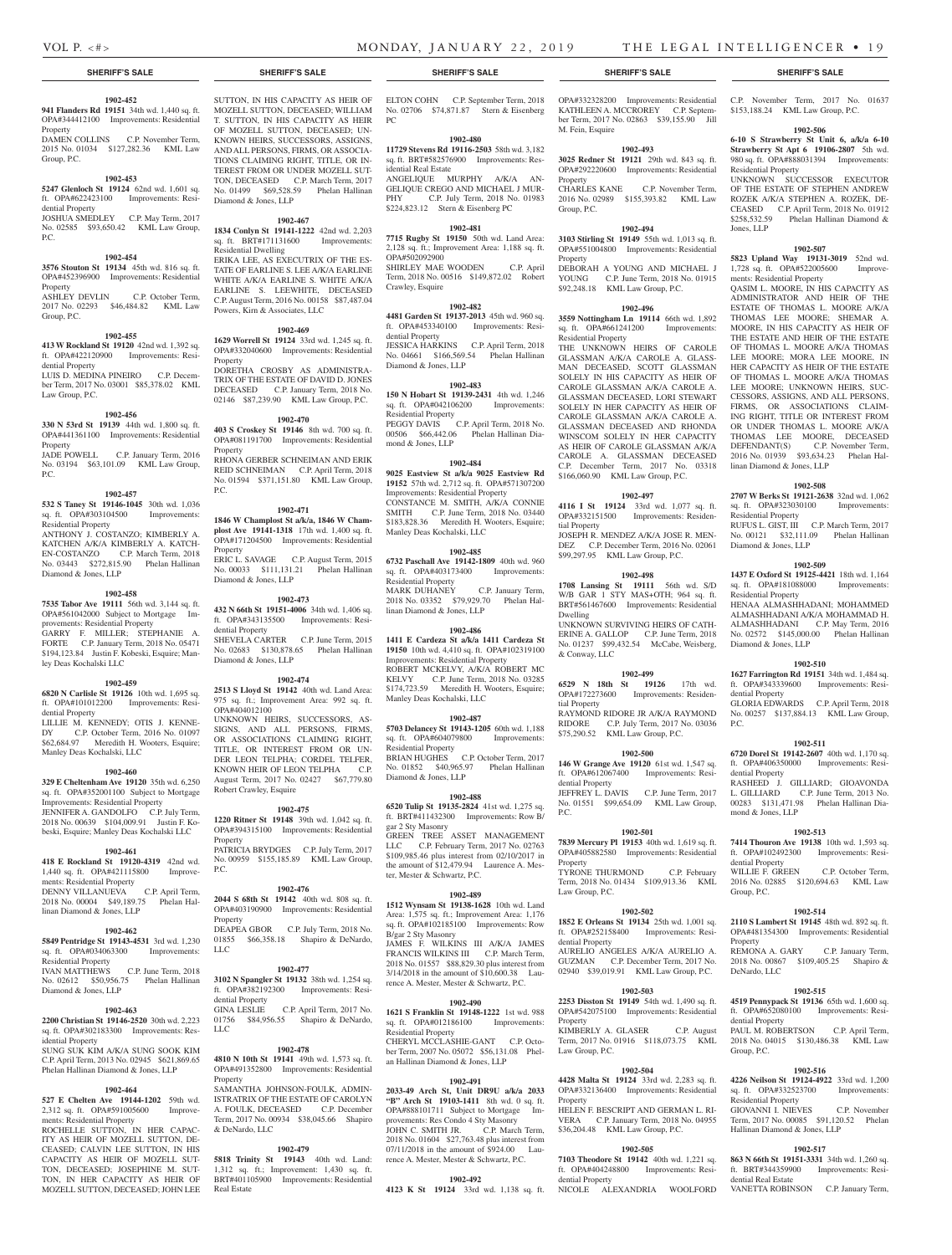\$153,188.24 KML Law Group, P.C. **1902-506 6-10 S Strawberry St Unit 6, a/k/a 6-10 Strawberry St Apt 6 19106-2807** 5th wd. 980 sq. ft. OPA#888031394 Improvements:

UNKNOWN SUCCESSOR EXECUTOR OF THE ESTATE OF STEPHEN ANDREW ROZEK A/K/A STEPHEN A. ROZEK, DE-CEASED C.P. April Term, 2018 No. 01912 \$258,532.59 Phelan Hallinan Diamond &

**1902-507 5823 Upland Way 19131-3019** 52nd wd. 1,728 sq. ft. OPA#522005600 Improve-

QASIM L. MOORE, IN HIS CAPACITY AS ADMINISTRATOR AND HEIR OF THE ESTATE OF THOMAS L. MOORE A/K/A THOMAS LEE MOORE; SHEMAR A. MOORE, IN HIS CAPACITY AS HEIR OF THE ESTATE AND HEIR OF THE ESTATE OF THOMAS L. MOORE A/K/A THOMAS LEE MOORE; MORA LEE MOORE, IN HER CAPACITY AS HEIR OF THE ESTATE OF THOMAS L. MOORE A/K/A THOMAS LEE MOORE; UNKNOWN HEIRS, SUC-CESSORS, ASSIGNS, AND ALL PERSONS, FIRMS, OR ASSOCIATIONS CLAIM-ING RIGHT, TITLE OR INTEREST FROM OR UNDER THOMAS L. MOORE A/K/A THOMAS LEE MOORE, DECEASED DEFENDANT(S) C.P. November Term, 2016 No. 01939 \$93,634.23 Phelan Hal-

Residential Property

ments: Residential Property

linan Diamond & Jones, LLP

Residential Property

Residential Property

Diamond & Jones, LLP

dential Property

dential Property

mond & Jones, LLP

dential Property

Group, P.C.

Property

DeNardo, LLC

dential Property

Residential Property

dential Real Estate

Group, P.C.

P.C.

Diamond & Jones, LLP

**1902-508 2707 W Berks St 19121-2638** 32nd wd. 1,062 sq. ft. OPA#323030100 Improvements:

RUFUS L. GIST, III C.P. March Term, 2017 No. 00121 \$32,111.09 Phelan Hallinan

**1902-509 1437 E Oxford St 19125-4421** 18th wd. 1,164 sq. ft. OPA#181088000 Improvements:

HENAA ALMASHHADANI; MOHAMMED ALMASHHADANI A/K/A MOHAMMAD H. ALMASHHADANI C.P. May Term, 2016 No. 02572 \$145,000.00 Phelan Hallinan

**1902-510 1627 Farrington Rd 19151** 34th wd. 1,484 sq. ft. OPA#343339600 Improvements: Resi-

GLORIA EDWARDS C.P. April Term, 2018 No. 00257 \$137,884.13 KML Law Group,

**1902-511 6720 Dorel St 19142-2607** 40th wd. 1,170 sq. ft. OPA#406350000 Improvements: Resi-

RASHEED J. GILLIARD; GIOAVONDA L. GILLIARD C.P. June Term, 2013 No. 00283 \$131,471.98 Phelan Hallinan Dia-

**1902-513 7414 Thouron Ave 19138** 10th wd. 1,593 sq. ft. OPA#102492300 Improvements: Resi-

WILLIE F. GREEN C.P. October Term, 2016 No. 02885 \$120,694.63 KML Law

**1902-514 2110 S Lambert St 19145** 48th wd. 892 sq. ft. OPA#481354300 Improvements: Residential

REMONA A. GARY C.P. January Term, 2018 No. 00867 \$109,405.25 Shapiro &

**1902-515 4519 Pennypack St 19136** 65th wd. 1,600 sq. ft. OPA#652080100 Improvements: Resi-

PAUL M. ROBERTSON C.P. April Term, 2018 No. 04015 \$130,486.38 KML Law

**1902-516 4226 Neilson St 19124-4922** 33rd wd. 1,200 sq. ft. OPA#332523700 Improvements:

GIOVANNI I. NIEVES C.P. November Term, 2017 No. 00085 \$91,120.52 Phelan

**1902-517 863 N 66th St 19151-3331** 34th wd. 1,260 sq. ft. BRT#344359900 Improvements: Resi-

VANETTA ROBINSON C.P. January Term,

Hallinan Diamond & Jones, LLP

Jones, LLP

# **SHERIFF'S SALE SHERIFF'S SALE SHERIFF'S SALE SHERIFF'S SALE SHERIFF'S SALE**

### **1902-452**

**941 Flanders Rd 19151** 34th wd. 1,440 sq. ft. OPA#344412100 Improvements: Residential Property DAMEN COLLINS C.P. November Term, 2015 No. 01034 \$127,282.36 KML Law

Group, P.C.

### **1902-453**

**5247 Glenloch St 19124** 62nd wd. 1,601 sq. ft. OPA#622423100 Improvements: Residential Property JOSHUA SMEDLEY C.P. May Term, 2017

No. 02585 \$93,650.42 KML Law Group, P.C.

#### **1902-454 3576 Stouton St 19134** 45th wd. 816 sq. ft.

OPA#452396900 Improvements: Residential Property<br>ASHLEY DEVLIN C.P. October Term, 2017 No. 02293 \$46,484.82 KML Law Group, P.C.

#### **1902-455**

**413 W Rockland St 19120** 42nd wd. 1,392 sq. ft. OPA#422120900 Improvements: Residential Property LUIS D. MEDINA PINEIRO C.P. December Term, 2017 No. 03001 \$85,378.02 KML Law Group, P.C.

#### **1902-456**

**330 N 53rd St 19139** 44th wd. 1,800 sq. ft. OPA#441361100 Improvements: Residential Property JADE POWELL C.P. January Term, 2016

No. 03194 \$63,101.09 KML Law Group, P.C.

#### **1902-457**

**532 S Taney St 19146-1045** 30th wd. 1,036 sq. ft. OPA#303104500 Improvements: Residential Property ANTHONY J. COSTANZO; KIMBERLY A. KATCHEN A/K/A KIMBERLY A. KATCH-EN-COSTANZO C.P. March Term, 2018

No. 03443 \$272,815.90 Phelan Hallinan Diamond & Jones, LLP

#### **1902-458**

**7535 Tabor Ave 19111** 56th wd. 3,144 sq. ft. OPA#561042000 Subject to Mortgage Improvements: Residential Property GARRY F. MILLER; STEPHANIE A. FORTE C.P. January Term, 2018 No. 05471 \$194,123.84 Justin F. Kobeski, Esquire; Manley Deas Kochalski LLC

#### **1902-459**

**6820 N Carlisle St 19126** 10th wd. 1,695 sq. ft. OPA#101012200 Improvements: Residential Property

LILLIE M. KENNEDY; OTIS J. KENNE-DY C.P. October Term, 2016 No. 01097 \$62,684.97 Meredith H. Wooters, Esquire; Manley Deas Kochalski, LLC

#### **1902-460**

**329 E Cheltenham Ave 19120** 35th wd. 6,250 sq. ft. OPA#352001100 Subject to Mortgage Improvements: Residential Property JENNIFER A. GANDOLFO C.P. July Term, 2018 No. 00639 \$104,009.91 Justin F. Kobeski, Esquire; Manley Deas Kochalski LLC

#### **1902-461**

**418 E Rockland St 19120-4319** 42nd wd. 1,440 sq. ft. OPA#421115800 Improvements: Residential Property

DENNY VILLANUEVA C.P. April Term, 2018 No. 00004 \$49,189.75 Phelan Hallinan Diamond & Jones, LLP

#### **1902-462**

**5849 Pentridge St 19143-4531** 3rd wd. 1,230 sq. ft. OPA#034063300 Improvements: Residential Property

IVAN MATTHEWS C.P. June Term, 2018 No. 02612 \$50,956.75 Phelan Hallinan Diamond & Jones, LLP

#### **1902-463**

**2200 Christian St 19146-2520** 30th wd. 2,223 sq. ft. OPA#302183300 Improvements: Res-LLC idential Property SUNG SUK KIM A/K/A SUNG SOOK KIM

C.P. April Term, 2013 No. 02945 \$621,869.65 Phelan Hallinan Diamond & Jones, LLP

#### **1902-464**

**527 E Chelten Ave 19144-1202** 59th wd. 2,312 sq. ft. OPA#591005600 Improvements: Residential Property

ROCHELLE SUTTON, IN HER CAPAC-ITY AS HEIR OF MOZELL SUTTON, DE-CEASED; CALVIN LEE SUTTON, IN HIS CAPACITY AS HEIR OF MOZELL SUT-TON, DECEASED; JOSEPHINE M. SUT-TON, IN HER CAPACITY AS HEIR OF MOZELL SUTTON, DECEASED; JOHN LEE SUTTON, IN HIS CAPACITY AS HEIR OF MOZELL SUTTON, DECEASED; WILLIAM T. SUTTON, IN HIS CAPACITY AS HEIR OF MOZELL SUTTON, DECEASED; UN-KNOWN HEIRS, SUCCESSORS, ASSIGNS, AND ALL PERSONS, FIRMS, OR ASSOCIA-TIONS CLAIMING RIGHT, TITLE, OR IN-TEREST FROM OR UNDER MOZELL SUT-TON, DECEASED C.P. March Term, 2017 No. 01499 \$69,528.59 Phelan Hallinan Diamond & Jones, LLP

**1902-467 1834 Conlyn St 19141-1222** 42nd wd. 2,203

sq. ft. BRT#171131600 Improvements: Residential Dwelling ERIKA LEE, AS EXECUTRIX OF THE ES-TATE OF EARLINE S. LEE A/K/A EARLINE WHITE A/K/A EARLINE S. WHITE A/K/A EARLINE S. LEEWHITE, DECEASED C.P. August Term, 2016 No. 00158 \$87,487.04 Powers, Kirn & Associates, LLC

#### **1902-469**

**1629 Worrell St 19124** 33rd wd. 1,245 sq. ft. OPA#332040600 Improvements: Residential Property

DORETHA CROSBY AS ADMINISTRA-TRIX OF THE ESTATE OF DAVID D. JONES DECEASED C.P. January Term, 2018 No. 02146 \$87,239.90 KML Law Group, P.C.

#### **1902-470**

**403 S Croskey St 19146** 8th wd. 700 sq. ft. OPA#081191700 Improvements: Residential Property RHONA GERBER SCHNEIMAN AND ERIK REID SCHNEIMAN C.P. April Term, 2018 No. 01594 \$371,151.80 KML Law Group, P.C.

#### **1902-471**

**1846 W Champlost St a/k/a, 1846 W Champlost Ave 19141-1318** 17th wd. 1,400 sq. ft. OPA#171204500 Improvements: Residential

Property ERIC L. SAVAGE C.P. August Term, 2015 No. 00033 \$111,131.21 Phelan Hallinan Diamond & Jones, LLP

#### **1902-473**

**432 N 66th St 19151-4006** 34th wd. 1,406 sq. ft. OPA#343135500 Improvements: Residential Property SHEVELA CARTER C.P. June Term, 2015 No. 02683 \$130,878.65 Phelan Hallinan Diamond & Jones, LLP

#### **1902-474**

**2513 S Lloyd St 19142** 40th wd. Land Area: 975 sq. ft.; Improvement Area: 992 sq. ft. OPA#404012100 UNKNOWN HEIRS, SUCCESSORS, AS-SIGNS, AND ALL PERSONS, FIRMS, OR ASSOCIATIONS CLAIMING RIGHT, TITLE, OR INTEREST FROM OR UN-DER LEON TELPHA; CORDEL TELFER, KNOWN HEIR OF LEON TELPHA C.P. August Term, 2017 No. 02427 \$67,779.80 Robert Crawley, Esquire

#### **1902-475**

**1220 Ritner St 19148** 39th wd. 1,042 sq. ft. OPA#394315100 Improvements: Residential Property PATRICIA BRYDGES C.P. July Term, 2017 No. 00959 \$155,185.89 KML Law Group,

#### **1902-476**

P.C.

LLC

**2044 S 68th St 19142** 40th wd. 808 sq. ft. OPA#403190900 Improvements: Residential Property DEAPEA GBOR C.P. July Term, 2018 No. 01855 \$66,358.18 Shapiro & DeNardo,

# **1902-477**

**3102 N Spangler St 19132** 38th wd. 1,254 sq. ft. OPA#382192300 Improvements: Residential Property GINA LESLIE C.P. April Term, 2017 No.

01756 \$84,956.55 Shapiro & DeNardo,

### **1902-478**

**4810 N 10th St 19141** 49th wd. 1,573 sq. ft. OPA#491352800 Improvements: Residential Property SAMANTHA JOHNSON-FOULK, ADMIN-

ISTRATRIX OF THE ESTATE OF CAROLYN A. FOULK, DECEASED C.P. December Term, 2017 No. 00934 \$38,045.66 Shapiro & DeNardo, LLC

#### **1902-479**

**5818 Trinity St 19143** 40th wd. Land: 1,312 sq. ft.; Improvement: 1,430 sq. ft. BRT#401105900 Improvements: Residential Real Estate

ELTON COHN C.P. September Term, 2018 No. 02706 \$74,871.87 Stern & Eisenberg PC

#### **1902-480**

**11729 Stevens Rd 19116-2503** 58th wd. 3,182 sq. ft. BRT#582576900 Improvements: Residential Real Estate ANGELIQUE MURPHY A/K/A

GELIQUE CREGO AND MICHAEL J MUR-PHY C.P. July Term, 2018 No. 01983 \$224,823.12 Stern & Eisenberg PC

#### **1902-481**

**7715 Rugby St 19150** 50th wd. Land Area: 2,128 sq. ft.; Improvement Area: 1,188 sq. ft. OPA#502092900 SHIRLEY MAE WOODEN C.P. April Term, 2018 No. 00516 \$149,872.02 Robert Crawley, Esquire

#### **1902-482**

**4481 Garden St 19137-2013** 45th wd. 960 sq. ft. OPA#453340100 Improvements: Residential Property

JESSICA HARKINS C.P. April Term, 2018 No. 04661 \$166,569.54 Phelan Hallinan Diamond & Jones, LLP

#### **1902-483**

**150 N Hobart St 19139-2431** 4th wd. 1,246 sq. ft. OPA#042106200 Improvements: sq. ft. OPA#042106200 Residential Property PEGGY DAVIS C.P. April Term, 2018 No. 00506 \$66,442.06 Phelan Hallinan Diamond & Jones, LLP

#### **1902-484**

**9025 Eastview St a/k/a 9025 Eastview Rd 19152** 57th wd. 2,712 sq. ft. OPA#571307200 Improvements: Residential Property CONSTANCE M. SMITH, A/K/A CONNIE SMITH C.P. June Term, 2018 No. 03440 \$183,828.36 Meredith H. Wooters, Esquire; Manley Deas Kochalski, LLC

#### **1902-485**

**6732 Paschall Ave 19142-1809** 40th wd. 960 sq. ft. OPA#403173400 Improvements: Residential Property MARK DUHANEY C.P. January Term, 2018 No. 03352 \$79,929.70 Phelan Hallinan Diamond & Jones, LLP

#### **1902-486**

**1411 E Cardeza St a/k/a 1411 Cardeza St 19150** 10th wd. 4,410 sq. ft. OPA#102319100 Improvements: Residential Property ROBERT MCKELVY, A/K/A ROBERT MC KELVY C.P. June Term, 2018 No. 03285 \$174,723.59 Meredith H. Wooters, Esquire; Manley Deas Kochalski, LLC

#### **1902-487**

**5703 Delancey St 19143-1205** 60th wd. 1,188 sq. ft. OPA#604079800 Improvements: sq. ft. OPA#604079800 Residential Property BRIAN HUGHES C.P. October Term, 2017 No. 01852 \$40,965.97 Phelan Hallinan

Diamond & Jones, LLP **1902-488**

**6520 Tulip St 19135-2824** 41st wd. 1,275 sq. ft. BRT#411432300 Improvements: Row B/ gar 2 Sty Masonry

GREEN TREE ASSET MANAGEMENT LLC C.P. February Term, 2017 No. 02763 \$109,985.46 plus interest from 02/10/2017 in the amount of \$12,479.94 Laurence A. Mester, Mester & Schwartz, P.C.

#### **1902-489**

**1512 Wynsam St 19138-1628** 10th wd. Land Area: 1,575 sq. ft.; Improvement Area: 1,176 sq. ft. OPA#102185100 Improvements: Row B/gar 2 Sty Masonry JAMES F. WILKINS III A/K/A JAMES FRANCIS WILKINS III C.P. March Term, 2018 No. 01557 \$88,829.30 plus interest from 3/14/2018 in the amount of \$10,600.38 Laurence A. Mester, Mester & Schwartz, P.C.

#### **1902-490**

**1621 S Franklin St 19148-1222** 1st wd. 988 sq. ft. OPA#012186100 Improvements: Residential Property CHERYL MCCLASHIE-GANT C.P. October Term, 2007 No. 05072 \$56,131.08 Phel-Law Group, P.C. an Hallinan Diamond & Jones, LLP

#### **1902-491**

**2033-49 Arch St, Unit DR9U a/k/a 2033 "B" Arch St 19103-1411** 8th wd. 0 sq. ft. OPA#888101711 Subject to Mortgage Improvements: Res Condo 4 Sty Masonry JOHN C. SMITH JR. C.P. March Term, 2018 No. 01604 \$27,763.48 plus interest from 07/11/2018 in the amount of \$924.00 Laurence A. Mester, Mester & Schwartz, P.C.

#### **1902-492**

**4123 K St 19124** 33rd wd. 1,138 sq. ft.

OPA#332328200 Improvements: Residential C.P. November Term, 2017 No. 01637 KATHLEEN A. MCCROREY C.P. September Term, 2017 No. 02863 \$39,155.90 Jill M. Fein, Esquire

#### **1902-493 3025 Redner St 19121** 29th wd. 843 sq. ft. OPA#292220600 Improvements: Residential

Property CHARLES KANE C.P. November Term, 2016 No. 02989 \$155,393.82 KML Law Group, P.C.

**1902-494 3103 Stirling St 19149** 55th wd. 1,013 sq. ft. OPA#551004800 Improvements: Residential

DEBORAH A YOUNG AND MICHAEL J YOUNG C.P. June Term, 2018 No. 01915 \$92,248.18 KML Law Group, P.C.

**1902-496 3559 Nottingham Ln 19114** 66th wd. 1,892 sq. ft. OPA#661241200 Improvements:

THE UNKNOWN HEIRS OF CAROLE GLASSMAN A/K/A CAROLE A. GLASS-MAN DECEASED, SCOTT GLASSMAN SOLELY IN HIS CAPACITY AS HEIR OF CAROLE GLASSMAN A/K/A CAROLE A. GLASSMAN DECEASED, LORI STEWART SOLELY IN HER CAPACITY AS HEIR OF CAROLE GLASSMAN A/K/A CAROLE A. GLASSMAN DECEASED AND RHONDA WINSCOM SOLELY IN HER CAPACITY AS HEIR OF CAROLE GLASSMAN A/K/A CAROLE A. GLASSMAN DECEASED C.P. December Term, 2017 No. 03318 \$166,060.90 KML Law Group, P.C.

**1902-497 4116 I St 19124** 33rd wd. 1,077 sq. ft. OPA#332151500 Improvements: Residen-

JOSEPH R. MENDEZ A/K/A JOSE R. MEN-DEZ C.P. December Term, 2016 No. 02061 \$99,297.95 KML Law Group, P.C.

**1902-498 1708 Lansing St 19111** 56th wd. S/D W/B GAR 1 STY MAS+OTH; 964 sq. ft. BRT#561467600 Improvements: Residential

UNKNOWN SURVIVING HEIRS OF CATH-ERINE A. GALLOP C.P. June Term, 2018 No. 01237 \$99,432.54 McCabe, Weisberg,

**1902-499 6529 N 18th St 19126** 17th wd. OPA#172273600 Improvements: Residen-

RAYMOND RIDORE JR A/K/A RAYMOND RIDORE C.P. July Term, 2017 No. 03036 \$75,290.52 KML Law Group, P.C.

**1902-500 146 W Grange Ave 19120** 61st wd. 1,547 sq. ft. OPA#612067400 Improvements: Resi-

JEFFREY L. DAVIS C.P. June Term, 2017 No. 01551 \$99,654.09 KML Law Group,

**1902-501 7839 Mercury Pl 19153** 40th wd. 1,619 sq. ft. OPA#405882580 Improvements: Residential

TYRONE THURMOND C.P. February Term, 2018 No. 01434 \$109,913.36 KML

**1902-502 1852 E Orleans St 19134** 25th wd. 1,001 sq. ft. OPA#252158400 Improvements: Resi-

AURELIO ANGELES A/K/A AURELIO A. GUZMAN C.P. December Term, 2017 No. 02940 \$39,019.91 KML Law Group, P.C. **1902-503 2253 Disston St 19149** 54th wd. 1,490 sq. ft. OPA#542075100 Improvements: Residential

KIMBERLY A. GLASER C.P. August Term, 2017 No. 01916 \$118,073.75 KML

**1902-504 4428 Malta St 19124** 33rd wd. 2,283 sq. ft. OPA#332136400 Improvements: Residential

HELEN F. BESCRIPT AND GERMAN L. RI-VERA C.P. January Term, 2018 No. 04955 \$36,204.48 KML Law Group, P.C.

**1902-505 7103 Theodore St 19142** 40th wd. 1,221 sq. ft. OPA#404248800 Improvements: Resi-

NICOLE ALEXANDRIA WOOLFORD

Property

Residential Property

tial Property

Dwelling

& Conway, LLC

tial Property

dential Property

P.C.

Property

Law Group, P.C.

dential Property

Property

Property

dential Property